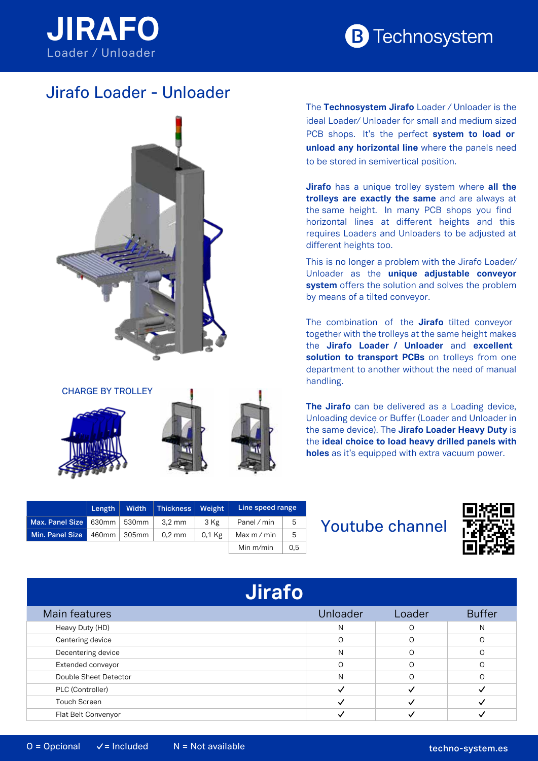



## Jirafo Loader - Unloader





**Length Width Thickness Weight Line speed range Max. Panel Size** 630mm 530mm 3,2 mm 3 Kg Panel / min 5 **Min. Panel Size** 460mm 305mm 0,2 mm 0,1 Kg Max m/min 5 Min m/min  $\vert$  0,5

The **Technosystem Jirafo** Loader / Unloader is the ideal Loader/ Unloader for small and medium sized PCB shops. It's the perfect **system to load or unload any horizontal line** where the panels need to be stored in semivertical position.

**Jirafo** has a unique trolley system where **all the trolleys are exactly the same** and are always at the same height. In many PCB shops you find horizontal lines at different heights and this requires Loaders and Unloaders to be adjusted at different heights too.

This is no longer a problem with the Jirafo Loader/ Unloader as the **unique adjustable conveyor system** offers the solution and solves the problem by means of a tilted conveyor.

The combination of the **Jirafo** tilted conveyor together with the trolleys at the same height makes the **Jirafo Loader / Unloader** and **excellent solution to transport PCBs** on trolleys from one department to another without the need of manual handling.

**The Jirafo** can be delivered as a Loading device, Unloading device or Buffer (Loader and Unloader in the same device). The **Jirafo Loader Heavy Duty** is the **ideal choice to load heavy drilled panels with holes** as it's equipped with extra vacuum power.

## Youtube channel



| <b>Jirafo</b>         |          |          |               |
|-----------------------|----------|----------|---------------|
| Main features         | Unloader | Loader   | <b>Buffer</b> |
| Heavy Duty (HD)       | N        | O        | N             |
| Centering device      | $\Omega$ | $\Omega$ |               |
| Decentering device    | N        | $\Omega$ | ∩             |
| Extended conveyor     |          | $\Omega$ | ∩             |
| Double Sheet Detector | N        | $\Omega$ |               |
| PLC (Controller)      |          |          |               |
| <b>Touch Screen</b>   |          |          |               |
| Flat Belt Convenyor   |          |          |               |